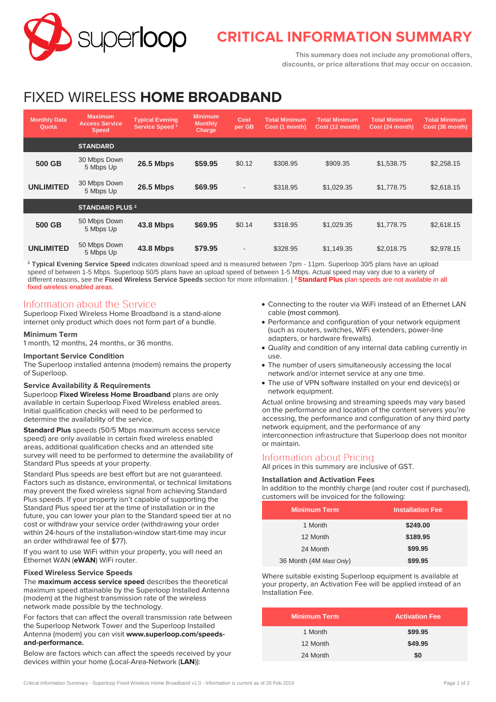

# **CRITICAL INFORMATION SUMMARY**

**This summary does not include any promotional offers, discounts, or price alterations that may occur on occasion.**

# FIXED WIRELESS **HOME BROADBAND**

| <b>Monthly Data</b><br>Quota | <b>Maximum</b><br><b>Access Service</b><br><b>Speed</b> | <b>Typical Evening</b><br>Service Speed <sup>1</sup> | <b>Minimum</b><br><b>Monthly</b><br>Charge | Cost<br>per GB           | <b>Total Minimum</b><br>Cost (1 month) | <b>Total Minimum</b><br>Cost (12 month) | <b>Total Minimum</b><br>Cost (24 month) | <b>Total Minimum</b><br>Cost (36 month) |
|------------------------------|---------------------------------------------------------|------------------------------------------------------|--------------------------------------------|--------------------------|----------------------------------------|-----------------------------------------|-----------------------------------------|-----------------------------------------|
|                              | <b>STANDARD</b>                                         |                                                      |                                            |                          |                                        |                                         |                                         |                                         |
| 500 GB                       | 30 Mbps Down<br>5 Mbps Up                               | <b>26.5 Mbps</b>                                     | \$59.95                                    | \$0.12                   | \$308.95                               | \$909.35                                | \$1,538.75                              | \$2,258.15                              |
| <b>UNLIMITED</b>             | 30 Mbps Down<br>5 Mbps Up                               | <b>26.5 Mbps</b>                                     | \$69.95                                    | $\overline{\phantom{a}}$ | \$318.95                               | \$1,029.35                              | \$1,778.75                              | \$2,618.15                              |
|                              | <b>STANDARD PLUS 2</b>                                  |                                                      |                                            |                          |                                        |                                         |                                         |                                         |
| 500 GB                       | 50 Mbps Down<br>5 Mbps Up                               | <b>43.8 Mbps</b>                                     | \$69.95                                    | \$0.14                   | \$318.95                               | \$1,029.35                              | \$1,778.75                              | \$2,618.15                              |
| <b>UNLIMITED</b>             | 50 Mbps Down<br>5 Mbps Up                               | <b>43.8 Mbps</b>                                     | \$79.95                                    | $\overline{\phantom{a}}$ | \$328.95                               | \$1,149.35                              | \$2,018.75                              | \$2,978.15                              |

**<sup>1</sup> Typical Evening Service Speed** indicates download speed and is measured between 7pm - 11pm. Superloop 30/5 plans have an upload speed of between 1-5 Mbps. Superloop 50/5 plans have an upload speed of between 1-5 Mbps. Actual speed may vary due to a variety of different reasons, see the **Fixed Wireless Service Speeds** section for more information. | **<sup>2</sup>Standard Plus** plan speeds are not available in all fixed wireless enabled areas.

## Information about the Service

Superloop Fixed Wireless Home Broadband is a stand-alone internet only product which does not form part of a bundle.

#### **Minimum Term**

1 month, 12 months, 24 months, or 36 months.

#### **Important Service Condition**

The Superloop installed antenna (modem) remains the property of Superloop.

#### **Service Availability & Requirements**

Superloop **Fixed Wireless Home Broadband** plans are only available in certain Superloop Fixed Wireless enabled areas. Initial qualification checks will need to be performed to determine the availability of the service.

**Standard Plus** speeds (50/5 Mbps maximum access service speed) are only available in certain fixed wireless enabled areas, additional qualification checks and an attended site survey will need to be performed to determine the availability of Standard Plus speeds at your property.

Standard Plus speeds are best effort but are not guaranteed. Factors such as distance, environmental, or technical limitations may prevent the fixed wireless signal from achieving Standard Plus speeds. If your property isn't capable of supporting the Standard Plus speed tier at the time of installation or in the future, you can lower your plan to the Standard speed tier at no cost or withdraw your service order (withdrawing your order within 24-hours of the installation-window start-time may incur an order withdrawal fee of \$77).

If you want to use WiFi within your property, you will need an Ethernet WAN (**eWAN**) WiFi router.

#### **Fixed Wireless Service Speeds**

The **maximum access service speed** describes the theoretical maximum speed attainable by the Superloop Installed Antenna (modem) at the highest transmission rate of the wireless network made possible by the technology.

For factors that can affect the overall transmission rate between the Superloop Network Tower and the Superloop Installed Antenna (modem) you can visit **[www.superloop.com/speeds](https://www.superloop.com/speeds-and-performance.html)[and-performance.](https://www.superloop.com/speeds-and-performance.html)**

Below are factors which can affect the speeds received by your devices within your home (Local-Area-Network (**LAN**)):

- Connecting to the router via WiFi instead of an Ethernet LAN cable (most common).
- Performance and configuration of your network equipment (such as routers, switches, WiFi extenders, power-line adapters, or hardware firewalls).
- Quality and condition of any internal data cabling currently in use.
- The number of users simultaneously accessing the local network and/or internet service at any one time.
- The use of VPN software installed on your end device(s) or network equipment.

Actual online browsing and streaming speeds may vary based on the performance and location of the content servers you're accessing, the performance and configuration of any third party network equipment, and the performance of any interconnection infrastructure that Superloop does not monitor or maintain.

### Information about Pricing

All prices in this summary are inclusive of GST.

### **Installation and Activation Fees**

In addition to the monthly charge (and router cost if purchased), customers will be invoiced for the following:

| <b>Minimum Term</b>     | <b>Installation Fee</b> |
|-------------------------|-------------------------|
| 1 Month                 | \$249.00                |
| 12 Month                | \$189.95                |
| 24 Month                | \$99.95                 |
| 36 Month (4M Mast Only) | \$99.95                 |

Where suitable existing Superloop equipment is available at your property, an Activation Fee will be applied instead of an Installation Fee.

| <b>Minimum Term</b> | <b>Activation Fee</b> |
|---------------------|-----------------------|
| 1 Month             | \$99.95               |
| 12 Month            | \$49.95               |
| 24 Month            | \$0                   |